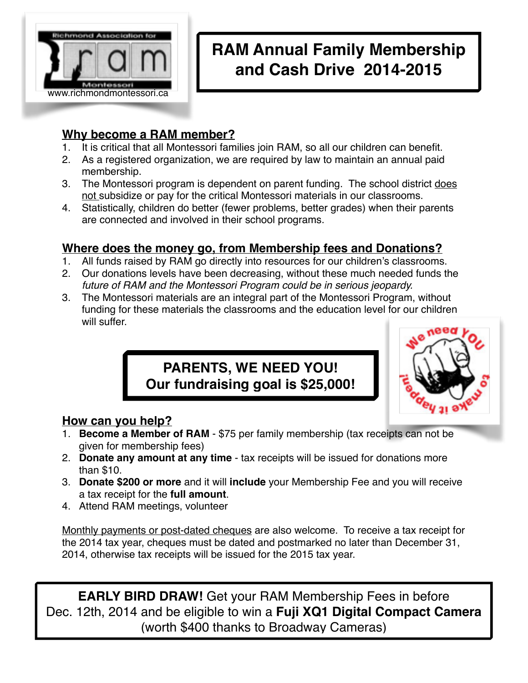

# **RAM Annual Family Membership and Cash Drive 2014-2015**

### **Why become a RAM member?**

- 1. It is critical that all Montessori families join RAM, so all our children can benefit.
- 2. As a registered organization, we are required by law to maintain an annual paid membership.
- 3. The Montessori program is dependent on parent funding. The school district does not subsidize or pay for the critical Montessori materials in our classrooms.
- 4. Statistically, children do better (fewer problems, better grades) when their parents are connected and involved in their school programs.

### **Where does the money go, from Membership fees and Donations?**

- 1. All funds raised by RAM go directly into resources for our children's classrooms.
- 2. Our donations levels have been decreasing, without these much needed funds the *future of RAM and the Montessori Program could be in serious jeopardy.*
- 3. The Montessori materials are an integral part of the Montessori Program, without funding for these materials the classrooms and the education level for our children will suffer.

## **PARENTS, WE NEED YOU! Our fundraising goal is \$25,000!**



## **How can you help?**

- 1. **Become a Member of RAM** \$75 per family membership (tax receipts can not be given for membership fees)
- 2. **Donate any amount at any time** tax receipts will be issued for donations more than \$10.
- 3. **Donate \$200 or more** and it will **include** your Membership Fee and you will receive a tax receipt for the **full amount**.
- 4. Attend RAM meetings, volunteer

Monthly payments or post-dated cheques are also welcome. To receive a tax receipt for the 2014 tax year, cheques must be dated and postmarked no later than December 31, 2014, otherwise tax receipts will be issued for the 2015 tax year.

**EARLY BIRD DRAW!** Get your RAM Membership Fees in before Dec. 12th, 2014 and be eligible to win a **Fuji XQ1 Digital Compact Camera**  (worth \$400 thanks to Broadway Cameras)